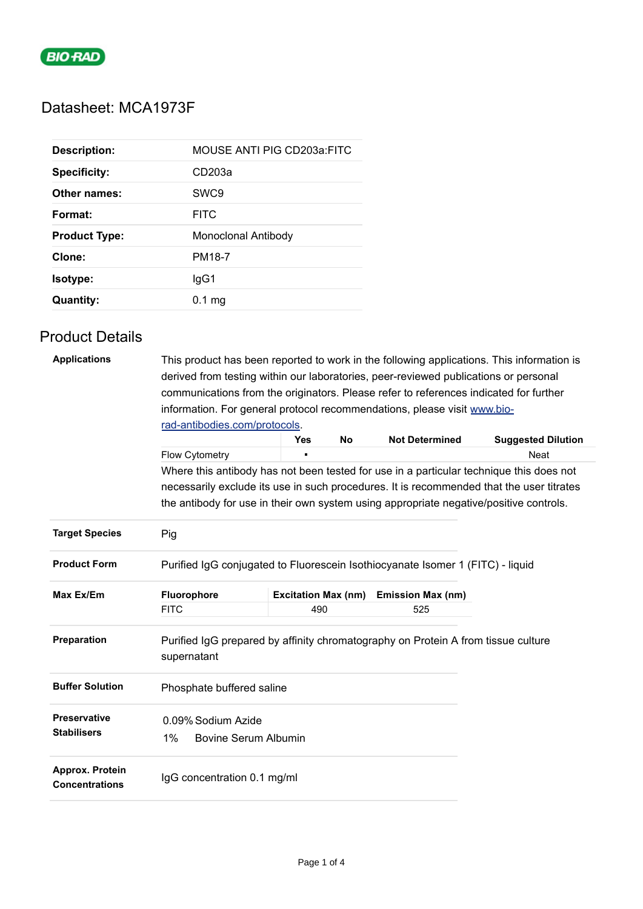

## Datasheet: MCA1973F

| <b>Description:</b>  | MOUSE ANTI PIG CD203a:FITC |
|----------------------|----------------------------|
| <b>Specificity:</b>  | CD <sub>203a</sub>         |
| Other names:         | SWC <sub>9</sub>           |
| Format:              | <b>FITC</b>                |
| <b>Product Type:</b> | Monoclonal Antibody        |
|                      |                            |
| Clone:               | PM18-7                     |
| <b>Isotype:</b>      | lgG1                       |

## Product Details

| <b>Applications</b>                      | This product has been reported to work in the following applications. This information is<br>derived from testing within our laboratories, peer-reviewed publications or personal |                            |           |                          |                                                                                          |  |  |
|------------------------------------------|-----------------------------------------------------------------------------------------------------------------------------------------------------------------------------------|----------------------------|-----------|--------------------------|------------------------------------------------------------------------------------------|--|--|
|                                          | communications from the originators. Please refer to references indicated for further                                                                                             |                            |           |                          |                                                                                          |  |  |
|                                          | information. For general protocol recommendations, please visit www.bio-                                                                                                          |                            |           |                          |                                                                                          |  |  |
|                                          |                                                                                                                                                                                   |                            |           |                          |                                                                                          |  |  |
|                                          | rad-antibodies.com/protocols.                                                                                                                                                     | <b>Yes</b>                 | <b>No</b> | <b>Not Determined</b>    | <b>Suggested Dilution</b>                                                                |  |  |
|                                          | Flow Cytometry                                                                                                                                                                    |                            |           |                          | <b>Neat</b>                                                                              |  |  |
|                                          |                                                                                                                                                                                   |                            |           |                          |                                                                                          |  |  |
|                                          |                                                                                                                                                                                   |                            |           |                          | Where this antibody has not been tested for use in a particular technique this does not  |  |  |
|                                          |                                                                                                                                                                                   |                            |           |                          | necessarily exclude its use in such procedures. It is recommended that the user titrates |  |  |
|                                          |                                                                                                                                                                                   |                            |           |                          | the antibody for use in their own system using appropriate negative/positive controls.   |  |  |
| <b>Target Species</b>                    | Pig                                                                                                                                                                               |                            |           |                          |                                                                                          |  |  |
| <b>Product Form</b>                      | Purified IgG conjugated to Fluorescein Isothiocyanate Isomer 1 (FITC) - liquid                                                                                                    |                            |           |                          |                                                                                          |  |  |
| Max Ex/Em                                | Fluorophore                                                                                                                                                                       | <b>Excitation Max (nm)</b> |           | <b>Emission Max (nm)</b> |                                                                                          |  |  |
|                                          | <b>FITC</b>                                                                                                                                                                       | 490                        |           | 525                      |                                                                                          |  |  |
| Preparation                              | Purified IgG prepared by affinity chromatography on Protein A from tissue culture                                                                                                 |                            |           |                          |                                                                                          |  |  |
|                                          | supernatant                                                                                                                                                                       |                            |           |                          |                                                                                          |  |  |
| <b>Buffer Solution</b>                   | Phosphate buffered saline                                                                                                                                                         |                            |           |                          |                                                                                          |  |  |
| <b>Preservative</b>                      | 0.09% Sodium Azide                                                                                                                                                                |                            |           |                          |                                                                                          |  |  |
| <b>Stabilisers</b>                       | 1%<br><b>Bovine Serum Albumin</b>                                                                                                                                                 |                            |           |                          |                                                                                          |  |  |
| Approx. Protein<br><b>Concentrations</b> | IgG concentration 0.1 mg/ml                                                                                                                                                       |                            |           |                          |                                                                                          |  |  |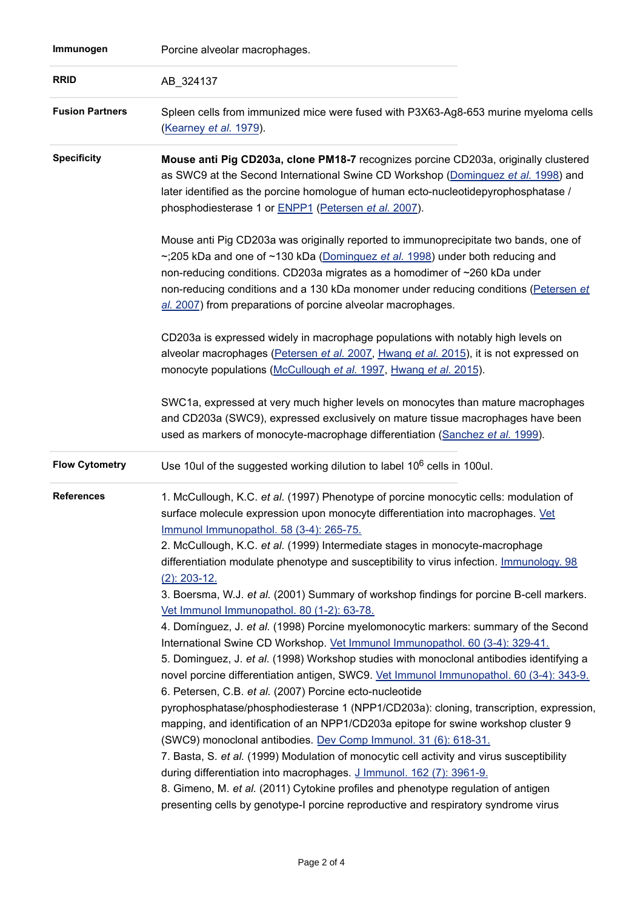| Immunogen              | Porcine alveolar macrophages.                                                                                                                                                                                                                                                                                                                                                                                                                                                                                                                                                                                                                                                                                                                                                                                                                                                                                                                                                                                                                                                                                                                                                                                                                    |
|------------------------|--------------------------------------------------------------------------------------------------------------------------------------------------------------------------------------------------------------------------------------------------------------------------------------------------------------------------------------------------------------------------------------------------------------------------------------------------------------------------------------------------------------------------------------------------------------------------------------------------------------------------------------------------------------------------------------------------------------------------------------------------------------------------------------------------------------------------------------------------------------------------------------------------------------------------------------------------------------------------------------------------------------------------------------------------------------------------------------------------------------------------------------------------------------------------------------------------------------------------------------------------|
| <b>RRID</b>            | AB_324137                                                                                                                                                                                                                                                                                                                                                                                                                                                                                                                                                                                                                                                                                                                                                                                                                                                                                                                                                                                                                                                                                                                                                                                                                                        |
| <b>Fusion Partners</b> | Spleen cells from immunized mice were fused with P3X63-Ag8-653 murine myeloma cells<br>(Kearney et al. 1979).                                                                                                                                                                                                                                                                                                                                                                                                                                                                                                                                                                                                                                                                                                                                                                                                                                                                                                                                                                                                                                                                                                                                    |
| <b>Specificity</b>     | Mouse anti Pig CD203a, clone PM18-7 recognizes porcine CD203a, originally clustered<br>as SWC9 at the Second International Swine CD Workshop (Dominguez et al. 1998) and<br>later identified as the porcine homologue of human ecto-nucleotidepyrophosphatase /<br>phosphodiesterase 1 or <b>ENPP1</b> (Petersen et al. 2007).                                                                                                                                                                                                                                                                                                                                                                                                                                                                                                                                                                                                                                                                                                                                                                                                                                                                                                                   |
|                        | Mouse anti Pig CD203a was originally reported to immunoprecipitate two bands, one of<br>~;205 kDa and one of ~130 kDa (Dominguez et al. 1998) under both reducing and<br>non-reducing conditions. CD203a migrates as a homodimer of ~260 kDa under<br>non-reducing conditions and a 130 kDa monomer under reducing conditions (Petersen et<br>al. 2007) from preparations of porcine alveolar macrophages.                                                                                                                                                                                                                                                                                                                                                                                                                                                                                                                                                                                                                                                                                                                                                                                                                                       |
|                        | CD203a is expressed widely in macrophage populations with notably high levels on<br>alveolar macrophages (Petersen et al. 2007, Hwang et al. 2015), it is not expressed on<br>monocyte populations (McCullough et al. 1997, Hwang et al. 2015).                                                                                                                                                                                                                                                                                                                                                                                                                                                                                                                                                                                                                                                                                                                                                                                                                                                                                                                                                                                                  |
|                        | SWC1a, expressed at very much higher levels on monocytes than mature macrophages<br>and CD203a (SWC9), expressed exclusively on mature tissue macrophages have been<br>used as markers of monocyte-macrophage differentiation (Sanchez et al. 1999).                                                                                                                                                                                                                                                                                                                                                                                                                                                                                                                                                                                                                                                                                                                                                                                                                                                                                                                                                                                             |
| <b>Flow Cytometry</b>  | Use 10ul of the suggested working dilution to label 10 <sup>6</sup> cells in 100ul.                                                                                                                                                                                                                                                                                                                                                                                                                                                                                                                                                                                                                                                                                                                                                                                                                                                                                                                                                                                                                                                                                                                                                              |
| <b>References</b>      | 1. McCullough, K.C. et al. (1997) Phenotype of porcine monocytic cells: modulation of<br>surface molecule expression upon monocyte differentiation into macrophages. Vet<br>Immunol Immunopathol. 58 (3-4): 265-75.<br>2. McCullough, K.C. et al. (1999) Intermediate stages in monocyte-macrophage<br>differentiation modulate phenotype and susceptibility to virus infection. <b>Immunology</b> . 98<br>$(2)$ : 203-12.<br>3. Boersma, W.J. et al. (2001) Summary of workshop findings for porcine B-cell markers.<br>Vet Immunol Immunopathol. 80 (1-2): 63-78.<br>4. Domínguez, J. et al. (1998) Porcine myelomonocytic markers: summary of the Second<br>International Swine CD Workshop. Vet Immunol Immunopathol. 60 (3-4): 329-41.<br>5. Dominguez, J. et al. (1998) Workshop studies with monoclonal antibodies identifying a<br>novel porcine differentiation antigen, SWC9. Vet Immunol Immunopathol. 60 (3-4): 343-9.<br>6. Petersen, C.B. et al. (2007) Porcine ecto-nucleotide<br>pyrophosphatase/phosphodiesterase 1 (NPP1/CD203a): cloning, transcription, expression,<br>mapping, and identification of an NPP1/CD203a epitope for swine workshop cluster 9<br>(SWC9) monoclonal antibodies. Dev Comp Immunol. 31 (6): 618-31. |
|                        |                                                                                                                                                                                                                                                                                                                                                                                                                                                                                                                                                                                                                                                                                                                                                                                                                                                                                                                                                                                                                                                                                                                                                                                                                                                  |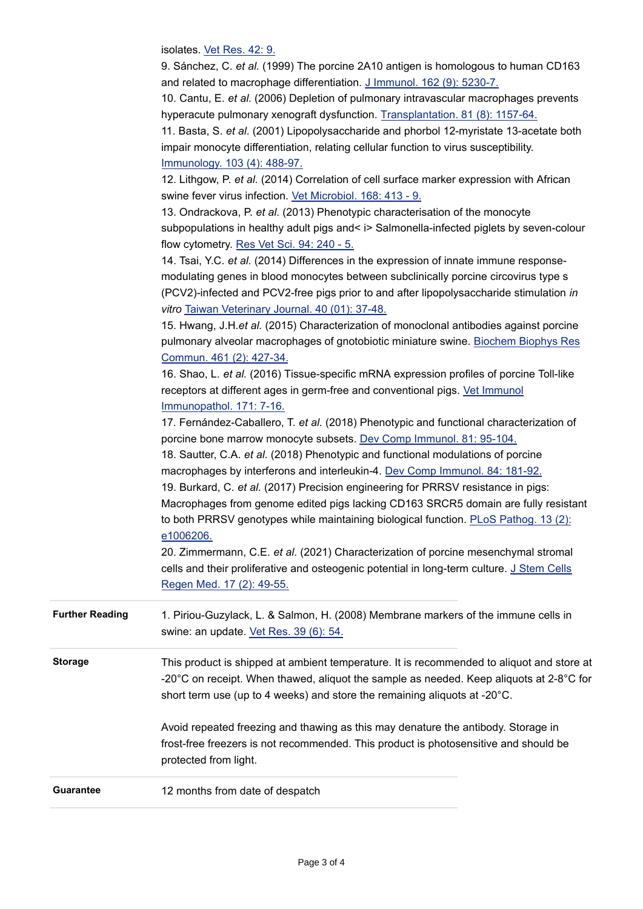isolates. [Vet Res. 42: 9.](http://www.ncbi.nlm.nih.gov/pubmed/21314968)

|                        | 9. Sánchez, C. et al. (1999) The porcine 2A10 antigen is homologous to human CD163<br>and related to macrophage differentiation. J Immunol. 162 (9): 5230-7.<br>10. Cantu, E. et al. (2006) Depletion of pulmonary intravascular macrophages prevents<br>hyperacute pulmonary xenograft dysfunction. Transplantation. 81 (8): 1157-64.<br>11. Basta, S. et al. (2001) Lipopolysaccharide and phorbol 12-myristate 13-acetate both<br>impair monocyte differentiation, relating cellular function to virus susceptibility.<br>Immunology. 103 (4): 488-97.<br>12. Lithgow, P. et al. (2014) Correlation of cell surface marker expression with African<br>swine fever virus infection. Vet Microbiol. 168: 413 - 9.<br>13. Ondrackova, P. et al. (2013) Phenotypic characterisation of the monocyte<br>subpopulations in healthy adult pigs and< i> Salmonella-infected piglets by seven-colour<br>flow cytometry. Res Vet Sci. 94: 240 - 5.<br>14. Tsai, Y.C. et al. (2014) Differences in the expression of innate immune response-<br>modulating genes in blood monocytes between subclinically porcine circovirus type s<br>(PCV2)-infected and PCV2-free pigs prior to and after lipopolysaccharide stimulation in                                                     |
|------------------------|----------------------------------------------------------------------------------------------------------------------------------------------------------------------------------------------------------------------------------------------------------------------------------------------------------------------------------------------------------------------------------------------------------------------------------------------------------------------------------------------------------------------------------------------------------------------------------------------------------------------------------------------------------------------------------------------------------------------------------------------------------------------------------------------------------------------------------------------------------------------------------------------------------------------------------------------------------------------------------------------------------------------------------------------------------------------------------------------------------------------------------------------------------------------------------------------------------------------------------------------------------------------------|
|                        | vitro Taiwan Veterinary Journal. 40 (01): 37-48.<br>15. Hwang, J.H.et al. (2015) Characterization of monoclonal antibodies against porcine<br>pulmonary alveolar macrophages of gnotobiotic miniature swine. Biochem Biophys Res<br>Commun. 461 (2): 427-34.<br>16. Shao, L. et al. (2016) Tissue-specific mRNA expression profiles of porcine Toll-like<br>receptors at different ages in germ-free and conventional pigs. Vet Immunol<br>Immunopathol. 171: 7-16.<br>17. Fernández-Caballero, T. et al. (2018) Phenotypic and functional characterization of<br>porcine bone marrow monocyte subsets. Dev Comp Immunol. 81: 95-104.<br>18. Sautter, C.A. et al. (2018) Phenotypic and functional modulations of porcine<br>macrophages by interferons and interleukin-4. Dev Comp Immunol. 84: 181-92.<br>19. Burkard, C. et al. (2017) Precision engineering for PRRSV resistance in pigs:<br>Macrophages from genome edited pigs lacking CD163 SRCR5 domain are fully resistant<br>to both PRRSV genotypes while maintaining biological function. PLoS Pathog. 13 (2):<br>e1006206.<br>20. Zimmermann, C.E. et al. (2021) Characterization of porcine mesenchymal stromal<br>cells and their proliferative and osteogenic potential in long-term culture. J Stem Cells |
| <b>Further Reading</b> | Regen Med. 17 (2): 49-55.<br>1. Piriou-Guzylack, L. & Salmon, H. (2008) Membrane markers of the immune cells in<br>swine: an update. Vet Res. 39 (6): 54.                                                                                                                                                                                                                                                                                                                                                                                                                                                                                                                                                                                                                                                                                                                                                                                                                                                                                                                                                                                                                                                                                                                  |
| <b>Storage</b>         | This product is shipped at ambient temperature. It is recommended to aliquot and store at<br>-20 $^{\circ}$ C on receipt. When thawed, aliquot the sample as needed. Keep aliquots at 2-8 $^{\circ}$ C for<br>short term use (up to 4 weeks) and store the remaining aliquots at -20°C.<br>Avoid repeated freezing and thawing as this may denature the antibody. Storage in<br>frost-free freezers is not recommended. This product is photosensitive and should be<br>protected from light.                                                                                                                                                                                                                                                                                                                                                                                                                                                                                                                                                                                                                                                                                                                                                                              |
| <b>Guarantee</b>       | 12 months from date of despatch                                                                                                                                                                                                                                                                                                                                                                                                                                                                                                                                                                                                                                                                                                                                                                                                                                                                                                                                                                                                                                                                                                                                                                                                                                            |